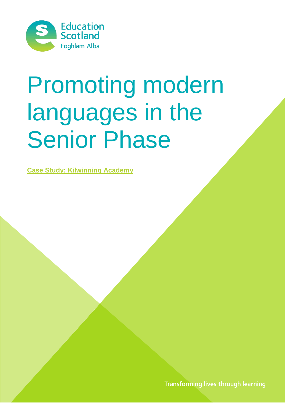

# Promoting modern languages in the Senior Phase

**Case Study: Kilwinning Academy**

Transforming lives through learning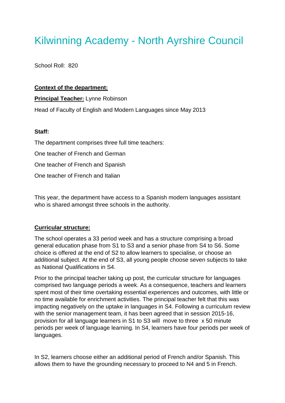# Kilwinning Academy - North Ayrshire Council

School Roll: 820

### **Context of the department:**

**Principal Teacher:** Lynne Robinson

Head of Faculty of English and Modern Languages since May 2013

#### **Staff:**

The department comprises three full time teachers: One teacher of French and German One teacher of French and Spanish One teacher of French and Italian

This year, the department have access to a Spanish modern languages assistant who is shared amongst three schools in the authority.

### **Curricular structure:**

The school operates a 33 period week and has a structure comprising a broad general education phase from S1 to S3 and a senior phase from S4 to S6. Some choice is offered at the end of S2 to allow learners to specialise, or choose an additional subject. At the end of S3, all young people choose seven subjects to take as National Qualifications in S4.

Prior to the principal teacher taking up post, the curricular structure for languages comprised two language periods a week. As a consequence, teachers and learners spent most of their time overtaking essential experiences and outcomes, with little or no time available for enrichment activities. The principal teacher felt that this was impacting negatively on the uptake in languages in S4. Following a curriculum review with the senior management team, it has been agreed that in session 2015-16, provision for all language learners in S1 to S3 will move to three x 50 minute periods per week of language learning. In S4, learners have four periods per week of languages.

In S2, learners choose either an additional period of French and/or Spanish. This allows them to have the grounding necessary to proceed to N4 and 5 in French.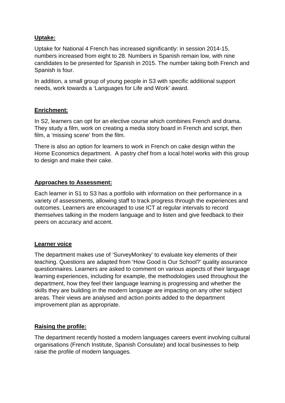### **Uptake:**

Uptake for National 4 French has increased significantly: in session 2014-15, numbers increased from eight to 28. Numbers in Spanish remain low, with nine candidates to be presented for Spanish in 2015. The number taking both French and Spanish is four.

In addition, a small group of young people in S3 with specific additional support needs, work towards a 'Languages for Life and Work' award.

#### **Enrichment:**

In S2, learners can opt for an elective course which combines French and drama. They study a film, work on creating a media story board in French and script, then film, a 'missing scene' from the film.

There is also an option for learners to work in French on cake design within the Home Economics department. A pastry chef from a local hotel works with this group to design and make their cake.

### **Approaches to Assessment:**

Each learner in S1 to S3 has a portfolio with information on their performance in a variety of assessments, allowing staff to track progress through the experiences and outcomes. Learners are encouraged to use ICT at regular intervals to record themselves talking in the modern language and to listen and give feedback to their peers on accuracy and accent.

#### **Learner voice**

The department makes use of 'SurveyMonkey' to evaluate key elements of their teaching. Questions are adapted from 'How Good is Our School?' quality assurance questionnaires. Learners are asked to comment on various aspects of their language learning experiences, including for example, the methodologies used throughout the department, how they feel their language learning is progressing and whether the skills they are building in the modern language are impacting on any other subject areas. Their views are analysed and action points added to the department improvement plan as appropriate.

### **Raising the profile:**

The department recently hosted a modern languages careers event involving cultural organisations (French Institute, Spanish Consulate) and local businesses to help raise the profile of modern languages.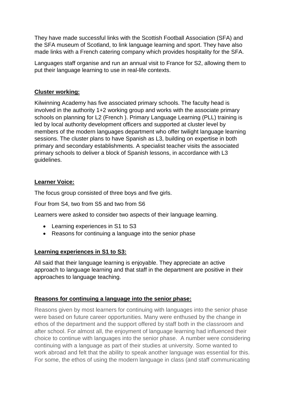They have made successful links with the Scottish Football Association (SFA) and the SFA museum of Scotland, to link language learning and sport. They have also made links with a French catering company which provides hospitality for the SFA.

Languages staff organise and run an annual visit to France for S2, allowing them to put their language learning to use in real-life contexts.

### **Cluster working:**

Kilwinning Academy has five associated primary schools. The faculty head is involved in the authority 1+2 working group and works with the associate primary schools on planning for L2 (French ). Primary Language Learning (PLL) training is led by local authority development officers and supported at cluster level by members of the modern languages department who offer twilight language learning sessions. The cluster plans to have Spanish as L3, building on expertise in both primary and secondary establishments. A specialist teacher visits the associated primary schools to deliver a block of Spanish lessons, in accordance with L3 guidelines.

## **Learner Voice:**

The focus group consisted of three boys and five girls.

Four from S4, two from S5 and two from S6

Learners were asked to consider two aspects of their language learning.

- Learning experiences in S1 to S3
- Reasons for continuing a language into the senior phase

# **Learning experiences in S1 to S3:**

All said that their language learning is enjoyable. They appreciate an active approach to language learning and that staff in the department are positive in their approaches to language teaching.

### **Reasons for continuing a language into the senior phase:**

Reasons given by most learners for continuing with languages into the senior phase were based on future career opportunities. Many were enthused by the change in ethos of the department and the support offered by staff both in the classroom and after school. For almost all, the enjoyment of language learning had influenced their choice to continue with languages into the senior phase. A number were considering continuing with a language as part of their studies at university. Some wanted to work abroad and felt that the ability to speak another language was essential for this. For some, the ethos of using the modern language in class (and staff communicating